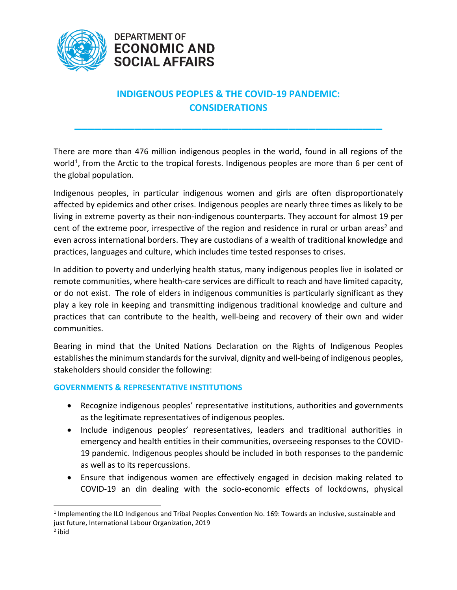



# **INDIGENOUS PEOPLES & THE COVID-19 PANDEMIC: CONSIDERATIONS**

**\_\_\_\_\_\_\_\_\_\_\_\_\_\_\_\_\_\_\_\_\_\_\_\_\_\_\_\_\_\_\_\_\_\_\_\_\_\_\_\_\_\_\_\_\_\_**

There are more than 476 million indigenous peoples in the world, found in all regions of the world<sup>1</sup>, from the Arctic to the tropical forests. Indigenous peoples are more than 6 per cent of the global population.

Indigenous peoples, in particular indigenous women and girls are often disproportionately affected by epidemics and other crises. Indigenous peoples are nearly three times as likely to be living in extreme poverty as their non-indigenous counterparts. They account for almost 19 per cent of the extreme poor, irrespective of the region and residence in rural or urban areas<sup>2</sup> and even across international borders. They are custodians of a wealth of traditional knowledge and practices, languages and culture, which includes time tested responses to crises.

In addition to poverty and underlying health status, many indigenous peoples live in isolated or remote communities, where health-care services are difficult to reach and have limited capacity, or do not exist. The role of elders in indigenous communities is particularly significant as they play a key role in keeping and transmitting indigenous traditional knowledge and culture and practices that can contribute to the health, well-being and recovery of their own and wider communities.

Bearing in mind that the United Nations Declaration on the Rights of Indigenous Peoples establishes the minimum standards for the survival, dignity and well-being of indigenous peoples, stakeholders should consider the following:

### **GOVERNMENTS & REPRESENTATIVE INSTITUTIONS**

- Recognize indigenous peoples' representative institutions, authorities and governments as the legitimate representatives of indigenous peoples.
- Include indigenous peoples' representatives, leaders and traditional authorities in emergency and health entities in their communities, overseeing responses to the COVID-19 pandemic. Indigenous peoples should be included in both responses to the pandemic as well as to its repercussions.
- Ensure that indigenous women are effectively engaged in decision making related to COVID-19 an din dealing with the socio-economic effects of lockdowns, physical

<sup>&</sup>lt;sup>1</sup> Implementing the ILO Indigenous and Tribal Peoples Convention No. 169: Towards an inclusive, sustainable and just future, International Labour Organization, 2019

<sup>&</sup>lt;sup>2</sup> ibid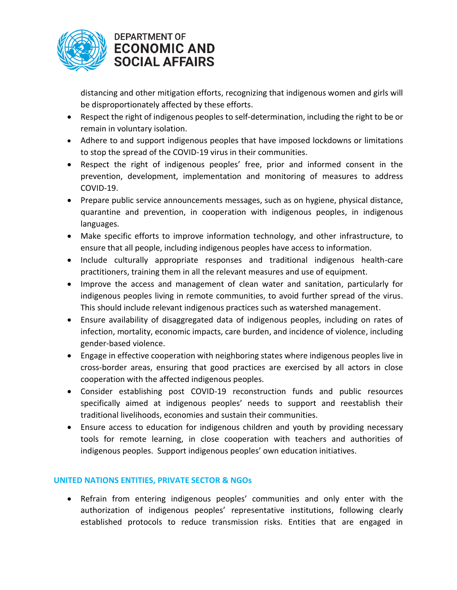

## **DEPARTMENT OF ECONOMIC AND SOCIAL AFFAIRS**

distancing and other mitigation efforts, recognizing that indigenous women and girls will be disproportionately affected by these efforts.

- Respect the right of indigenous peoples to self-determination, including the right to be or remain in voluntary isolation.
- Adhere to and support indigenous peoples that have imposed lockdowns or limitations to stop the spread of the COVID-19 virus in their communities.
- Respect the right of indigenous peoples' free, prior and informed consent in the prevention, development, implementation and monitoring of measures to address COVID-19.
- Prepare public service announcements messages, such as on hygiene, physical distance, quarantine and prevention, in cooperation with indigenous peoples, in indigenous languages.
- Make specific efforts to improve information technology, and other infrastructure, to ensure that all people, including indigenous peoples have access to information.
- Include culturally appropriate responses and traditional indigenous health-care practitioners, training them in all the relevant measures and use of equipment.
- Improve the access and management of clean water and sanitation, particularly for indigenous peoples living in remote communities, to avoid further spread of the virus. This should include relevant indigenous practices such as watershed management.
- Ensure availability of disaggregated data of indigenous peoples, including on rates of infection, mortality, economic impacts, care burden, and incidence of violence, including gender-based violence.
- Engage in effective cooperation with neighboring states where indigenous peoples live in cross-border areas, ensuring that good practices are exercised by all actors in close cooperation with the affected indigenous peoples.
- Consider establishing post COVID-19 reconstruction funds and public resources specifically aimed at indigenous peoples' needs to support and reestablish their traditional livelihoods, economies and sustain their communities.
- Ensure access to education for indigenous children and youth by providing necessary tools for remote learning, in close cooperation with teachers and authorities of indigenous peoples. Support indigenous peoples' own education initiatives.

### **UNITED NATIONS ENTITIES, PRIVATE SECTOR & NGOs**

• Refrain from entering indigenous peoples' communities and only enter with the authorization of indigenous peoples' representative institutions, following clearly established protocols to reduce transmission risks. Entities that are engaged in